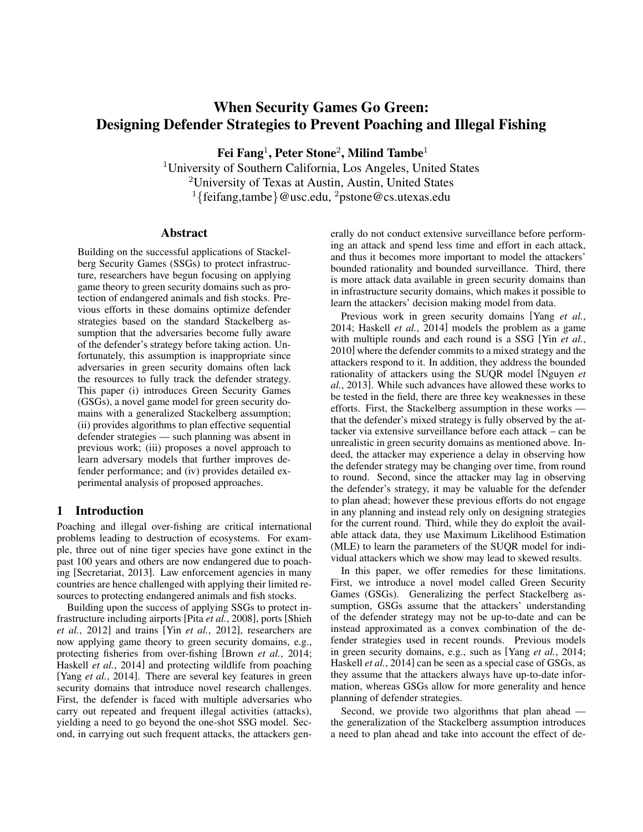# When Security Games Go Green: Designing Defender Strategies to Prevent Poaching and Illegal Fishing

Fei Fang $^1$ , Peter Stone $^2$ , Milind Tambe $^1$ 

<sup>1</sup>University of Southern California, Los Angeles, United States <sup>2</sup>University of Texas at Austin, Austin, United States <sup>1</sup>{feifang,tambe}@usc.edu, <sup>2</sup>pstone@cs.utexas.edu

#### **Abstract**

Building on the successful applications of Stackelberg Security Games (SSGs) to protect infrastructure, researchers have begun focusing on applying game theory to green security domains such as protection of endangered animals and fish stocks. Previous efforts in these domains optimize defender strategies based on the standard Stackelberg assumption that the adversaries become fully aware of the defender's strategy before taking action. Unfortunately, this assumption is inappropriate since adversaries in green security domains often lack the resources to fully track the defender strategy. This paper (i) introduces Green Security Games (GSGs), a novel game model for green security domains with a generalized Stackelberg assumption; (ii) provides algorithms to plan effective sequential defender strategies — such planning was absent in previous work; (iii) proposes a novel approach to learn adversary models that further improves defender performance; and (iv) provides detailed experimental analysis of proposed approaches.

## 1 Introduction

Poaching and illegal over-fishing are critical international problems leading to destruction of ecosystems. For example, three out of nine tiger species have gone extinct in the past 100 years and others are now endangered due to poaching [Secretariat, 2013]. Law enforcement agencies in many countries are hence challenged with applying their limited resources to protecting endangered animals and fish stocks.

Building upon the success of applying SSGs to protect infrastructure including airports [Pita *et al.*, 2008], ports [Shieh *et al.*, 2012] and trains [Yin *et al.*, 2012], researchers are now applying game theory to green security domains, e.g., protecting fisheries from over-fishing [Brown *et al.*, 2014; Haskell *et al.*, 2014] and protecting wildlife from poaching [Yang *et al.*, 2014]. There are several key features in green security domains that introduce novel research challenges. First, the defender is faced with multiple adversaries who carry out repeated and frequent illegal activities (attacks), yielding a need to go beyond the one-shot SSG model. Second, in carrying out such frequent attacks, the attackers generally do not conduct extensive surveillance before performing an attack and spend less time and effort in each attack, and thus it becomes more important to model the attackers' bounded rationality and bounded surveillance. Third, there is more attack data available in green security domains than in infrastructure security domains, which makes it possible to learn the attackers' decision making model from data.

Previous work in green security domains [Yang *et al.*, 2014; Haskell *et al.*, 2014] models the problem as a game with multiple rounds and each round is a SSG [Yin *et al.*, 2010] where the defender commits to a mixed strategy and the attackers respond to it. In addition, they address the bounded rationality of attackers using the SUQR model [Nguyen *et al.*, 2013]. While such advances have allowed these works to be tested in the field, there are three key weaknesses in these efforts. First, the Stackelberg assumption in these works that the defender's mixed strategy is fully observed by the attacker via extensive surveillance before each attack – can be unrealistic in green security domains as mentioned above. Indeed, the attacker may experience a delay in observing how the defender strategy may be changing over time, from round to round. Second, since the attacker may lag in observing the defender's strategy, it may be valuable for the defender to plan ahead; however these previous efforts do not engage in any planning and instead rely only on designing strategies for the current round. Third, while they do exploit the available attack data, they use Maximum Likelihood Estimation (MLE) to learn the parameters of the SUQR model for individual attackers which we show may lead to skewed results.

In this paper, we offer remedies for these limitations. First, we introduce a novel model called Green Security Games (GSGs). Generalizing the perfect Stackelberg assumption, GSGs assume that the attackers' understanding of the defender strategy may not be up-to-date and can be instead approximated as a convex combination of the defender strategies used in recent rounds. Previous models in green security domains, e.g., such as [Yang *et al.*, 2014; Haskell *et al.*, 2014] can be seen as a special case of GSGs, as they assume that the attackers always have up-to-date information, whereas GSGs allow for more generality and hence planning of defender strategies.

Second, we provide two algorithms that plan ahead the generalization of the Stackelberg assumption introduces a need to plan ahead and take into account the effect of de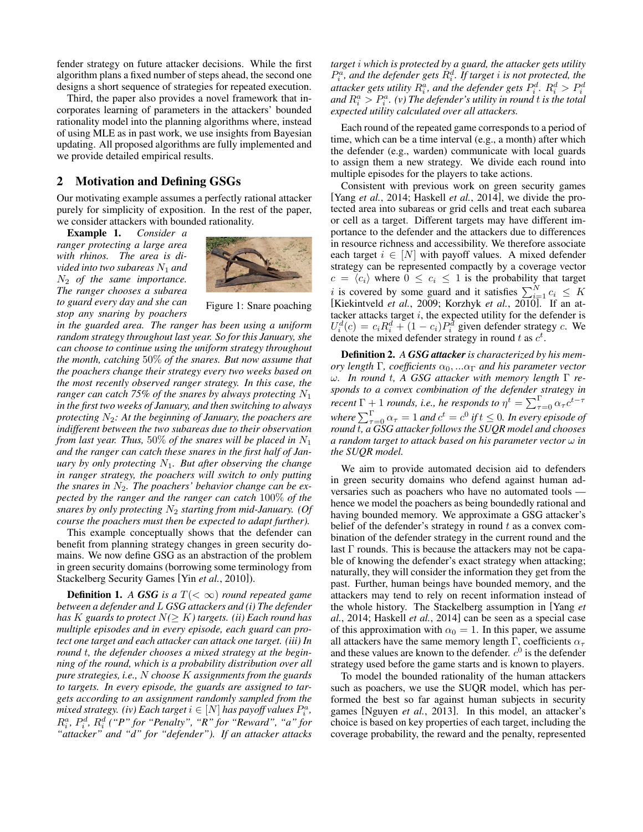fender strategy on future attacker decisions. While the first algorithm plans a fixed number of steps ahead, the second one designs a short sequence of strategies for repeated execution.

Third, the paper also provides a novel framework that incorporates learning of parameters in the attackers' bounded rationality model into the planning algorithms where, instead of using MLE as in past work, we use insights from Bayesian updating. All proposed algorithms are fully implemented and we provide detailed empirical results.

## 2 Motivation and Defining GSGs

Our motivating example assumes a perfectly rational attacker purely for simplicity of exposition. In the rest of the paper, we consider attackers with bounded rationality.

Example 1. *Consider a ranger protecting a large area with rhinos. The area is divided into two subareas*  $N_1$  *and* N<sup>2</sup> *of the same importance. The ranger chooses a subarea to guard every day and she can stop any snaring by poachers*



Figure 1: Snare poaching

*in the guarded area. The ranger has been using a uniform random strategy throughout last year. So for this January, she can choose to continue using the uniform strategy throughout the month, catching* 50% *of the snares. But now assume that the poachers change their strategy every two weeks based on the most recently observed ranger strategy. In this case, the ranger can catch 75% of the snares by always protecting*  $N_1$ *in the first two weeks of January, and then switching to always protecting* N2*: At the beginning of January, the poachers are indifferent between the two subareas due to their observation from last year. Thus,* 50% *of the snares will be placed in*  $N_1$ *and the ranger can catch these snares in the first half of January by only protecting* N1*. But after observing the change in ranger strategy, the poachers will switch to only putting the snares in*  $N_2$ *. The poachers' behavior change can be expected by the ranger and the ranger can catch* 100% *of the snares by only protecting*  $N_2$  *starting from mid-January. (Of course the poachers must then be expected to adapt further).*

This example conceptually shows that the defender can benefit from planning strategy changes in green security domains. We now define GSG as an abstraction of the problem in green security domains (borrowing some terminology from Stackelberg Security Games [Yin *et al.*, 2010]).

**Definition 1.** *A GSG is a*  $T(<\infty)$  *round repeated game between a defender and* L *GSG attackers and (i) The defender has* K guards to protect  $N(\geq K)$  targets. (ii) Each round has *multiple episodes and in every episode, each guard can protect one target and each attacker can attack one target. (iii) In round* t*, the defender chooses a mixed strategy at the beginning of the round, which is a probability distribution over all pure strategies, i.e.,* N *choose* K *assignments from the guards to targets. In every episode, the guards are assigned to targets according to an assignment randomly sampled from the mixed strategy.* (iv) Each target  $i \in [N]$  has payoff values  $P_i^a$ ,  $R_i^a$ ,  $P_i^d$ ,  $R_i^d$  ("P" for "Penalty", "R" for "Reward", "a" for *"attacker" and "d" for "defender"). If an attacker attacks* *target* i *which is protected by a guard, the attacker gets utility*  $P_i^a$ , and the defender gets  $R_i^d$ . If target *i* is not protected, the attacker gets utility  $R_i^a$ , and the defender gets  $P_i^d$ .  $R_i^d > P_i^d$ and  $R_i^a > P_i^a$ . (v) The defender's utility in round  $t$  is the total *expected utility calculated over all attackers.*

Each round of the repeated game corresponds to a period of time, which can be a time interval (e.g., a month) after which the defender (e.g., warden) communicate with local guards to assign them a new strategy. We divide each round into multiple episodes for the players to take actions.

Consistent with previous work on green security games [Yang *et al.*, 2014; Haskell *et al.*, 2014], we divide the protected area into subareas or grid cells and treat each subarea or cell as a target. Different targets may have different importance to the defender and the attackers due to differences in resource richness and accessibility. We therefore associate each target  $i \in [N]$  with payoff values. A mixed defender strategy can be represented compactly by a coverage vector  $c = \langle c_i \rangle$  where  $0 \leq c_i \leq 1$  is the probability that target i is covered by some guard and it satisfies  $\sum_{i=1}^{N} c_i \leq K$ [Kiekintveld *et al.*, 2009; Korzhyk *et al.*, 2010]. If an attacker attacks target  $i$ , the expected utility for the defender is  $U_i^d(c) = c_i R_i^d + (1 - c_i)P_i^d$  given defender strategy c. We denote the mixed defender strategy in round  $t$  as  $c^t$ .

Definition 2. *A GSG attacker is characterized by his memory length*  $\Gamma$ *, coefficients*  $\alpha_0$ *, ...* $\alpha_{\Gamma}$  *and his parameter vector* ω*. In round* t*, A GSG attacker with memory length* Γ *responds to a convex combination of the defender strategy in recent*  $\Gamma$  + 1 *rounds, i.e., he responds to*  $\eta^t = \sum_{\tau=0}^{\Gamma} \alpha_{\tau} c^{t-\tau}$ where  $\sum_{\tau=0}^{\Gamma}\alpha_{\tau}=1$  and  $c^{t}=c^{0}$  if  $t\leq0$ . In every episode of *round* t*, a GSG attacker follows the SUQR model and chooses a random target to attack based on his parameter vector* ω *in the SUQR model.*

We aim to provide automated decision aid to defenders in green security domains who defend against human adversaries such as poachers who have no automated tools hence we model the poachers as being boundedly rational and having bounded memory. We approximate a GSG attacker's belief of the defender's strategy in round  $t$  as a convex combination of the defender strategy in the current round and the last  $\Gamma$  rounds. This is because the attackers may not be capable of knowing the defender's exact strategy when attacking; naturally, they will consider the information they get from the past. Further, human beings have bounded memory, and the attackers may tend to rely on recent information instead of the whole history. The Stackelberg assumption in [Yang *et al.*, 2014; Haskell *et al.*, 2014] can be seen as a special case of this approximation with  $\alpha_0 = 1$ . In this paper, we assume all attackers have the same memory length Γ, coefficients  $\alpha_{\tau}$ and these values are known to the defender.  $c^0$  is the defender strategy used before the game starts and is known to players.

To model the bounded rationality of the human attackers such as poachers, we use the SUQR model, which has performed the best so far against human subjects in security games [Nguyen *et al.*, 2013]. In this model, an attacker's choice is based on key properties of each target, including the coverage probability, the reward and the penalty, represented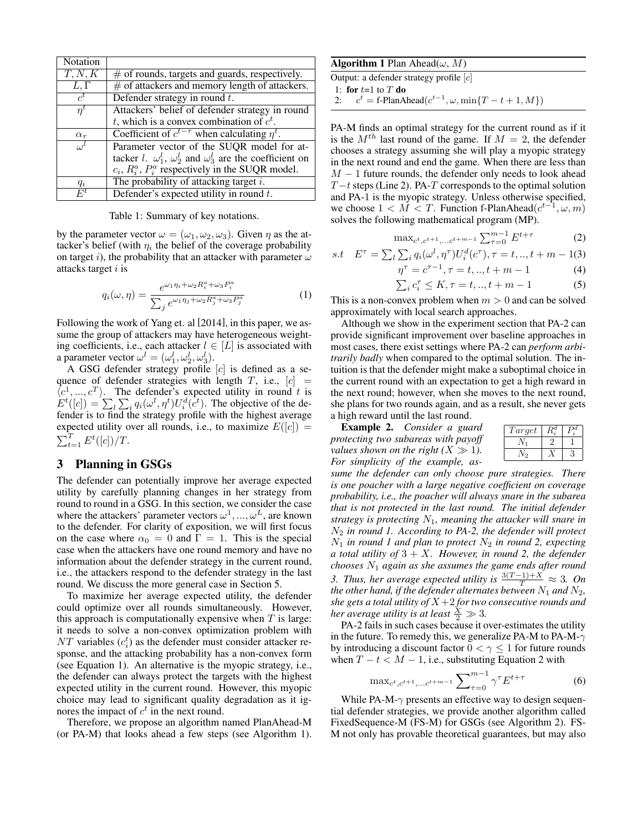| <b>Notation</b>        |                                                                                       |
|------------------------|---------------------------------------------------------------------------------------|
| $\overline{T, N, K}$   | $#$ of rounds, targets and guards, respectively.                                      |
| $\overline{L, \Gamma}$ | $#$ of attackers and memory length of attackers.                                      |
| $c^t$                  | Defender strategy in round $t$ .                                                      |
| $n^{\iota}$            | Attackers' belief of defender strategy in round                                       |
|                        | t, which is a convex combination of $c^t$ .                                           |
| $\alpha_{\tau}$        | Coefficient of $c^{t-\tau}$ when calculating $\eta^t$ .                               |
| $\alpha$               | Parameter vector of the SUQR model for at-                                            |
|                        | tacker <i>l</i> . $\omega_1^l$ , $\omega_2^l$ and $\omega_3^l$ are the coefficient on |
|                        | $c_i$ , $R_i^a$ , $P_i^a$ respectively in the SUQR model.                             |
| $q_i$                  | The probability of attacking target $i$ .                                             |
| $F^t$                  | Defender's expected utility in round $t$ .                                            |

Table 1: Summary of key notations.

by the parameter vector  $\omega = (\omega_1, \omega_2, \omega_3)$ . Given  $\eta$  as the attacker's belief (with  $\eta_i$  the belief of the coverage probability on target i), the probability that an attacker with parameter  $\omega$ attacks target  $i$  is

$$
q_i(\omega, \eta) = \frac{e^{\omega_1 \eta_i + \omega_2 R_i^a + \omega_3 P_i^a}}{\sum_j e^{\omega_1 \eta_j + \omega_2 R_j^a + \omega_3 P_j^a}}
$$
(1)

Following the work of Yang et. al [2014], in this paper, we assume the group of attackers may have heterogeneous weighting coefficients, i.e., each attacker  $l \in [L]$  is associated with a parameter vector  $\omega^l = (\omega_1^l, \omega_2^l, \omega_3^l)$ .

A GSG defender strategy profile [c] is defined as a sequence of defender strategies with length  $T$ , i.e.,  $[c] =$  $\langle c^1, ..., c^T \rangle$ . The defender's expected utility in round t is  $E^t([c]) = \sum_l \sum_i q_i(\omega^l, \eta^t) U_i^d(\tilde{c}^t)$ . The objective of the defender is to find the strategy profile with the highest average expected utility over all rounds, i.e., to maximize  $E([c]) =$  $\sum_{t=1}^{T} E^{t}([c])/T.$ 

#### 3 Planning in GSGs

The defender can potentially improve her average expected utility by carefully planning changes in her strategy from round to round in a GSG. In this section, we consider the case where the attackers' parameter vectors  $\omega^1, ..., \omega^L$ , are known to the defender. For clarity of exposition, we will first focus on the case where  $\alpha_0 = 0$  and  $\Gamma = 1$ . This is the special case when the attackers have one round memory and have no information about the defender strategy in the current round, i.e., the attackers respond to the defender strategy in the last round. We discuss the more general case in Section 5.

To maximize her average expected utility, the defender could optimize over all rounds simultaneously. However, this approach is computationally expensive when  $T$  is large: it needs to solve a non-convex optimization problem with  $NT$  variables  $(c_i^t)$  as the defender must consider attacker response, and the attacking probability has a non-convex form (see Equation 1). An alternative is the myopic strategy, i.e., the defender can always protect the targets with the highest expected utility in the current round. However, this myopic choice may lead to significant quality degradation as it ignores the impact of  $c^t$  in the next round.

Therefore, we propose an algorithm named PlanAhead-M (or PA-M) that looks ahead a few steps (see Algorithm 1).

| <b>Algorithm 1</b> Plan Ahead( $\omega$ , M)                     |  |  |  |  |  |  |
|------------------------------------------------------------------|--|--|--|--|--|--|
| Output: a defender strategy profile $ c $                        |  |  |  |  |  |  |
| 1: for $t=1$ to $T$ do                                           |  |  |  |  |  |  |
| 2: $c^t = \text{f-PlanAhead}(c^{t-1}, \omega, \min\{T-t+1, M\})$ |  |  |  |  |  |  |

PA-M finds an optimal strategy for the current round as if it is the  $M^{th}$  last round of the game. If  $M = 2$ , the defender chooses a strategy assuming she will play a myopic strategy in the next round and end the game. When there are less than  $M-1$  future rounds, the defender only needs to look ahead  $T-t$  steps (Line 2). PA-T corresponds to the optimal solution and PA-1 is the myopic strategy. Unless otherwise specified, we choose  $1 < M < T$ . Function f-PlanAhead $(c^{t-1}, \omega, m)$ solves the following mathematical program (MP).

$$
\max_{c^t, c^{t+1}, \dots, c^{t+m-1}} \sum_{\tau=0}^{m-1} E^{t+\tau}
$$
 (2)

s.t 
$$
E^{\tau} = \sum_{l} \sum_{i} q_i(\omega^l, \eta^{\tau}) U_i^d(c^{\tau}), \tau = t, ..., t + m - 1(3)
$$

$$
\eta^{\tau} = c^{\tau - 1}, \tau = t, ..., t + m - 1 \tag{4}
$$

$$
\sum_{i} c_i^{\tau} \le K, \tau = t, ..., t + m - 1 \tag{5}
$$

This is a non-convex problem when  $m > 0$  and can be solved approximately with local search approaches.

Although we show in the experiment section that PA-2 can provide significant improvement over baseline approaches in most cases, there exist settings where PA-2 can *perform arbitrarily badly* when compared to the optimal solution. The intuition is that the defender might make a suboptimal choice in the current round with an expectation to get a high reward in the next round; however, when she moves to the next round, she plans for two rounds again, and as a result, she never gets a high reward until the last round.

Example 2. *Consider a guard protecting two subareas with payoff values shown on the right*  $(X \gg 1)$ . *For simplicity of the example, as-*

| Target |  |
|--------|--|
|        |  |
|        |  |

*sume the defender can only choose pure strategies. There is one poacher with a large negative coefficient on coverage probability, i.e., the poacher will always snare in the subarea that is not protected in the last round. The initial defender strategy is protecting* N1*, meaning the attacker will snare in* N<sup>2</sup> *in round 1. According to PA-2, the defender will protect*  $N_1$  *in round 1 and plan to protect*  $N_2$  *in round 2, expecting a total utility of* 3 + X*. However, in round 2, the defender chooses* N<sup>1</sup> *again as she assumes the game ends after round 3. Thus, her average expected utility is*  $\frac{3(T-1)+X}{T} \approx 3$ . On *the other hand, if the defender alternates between*  $N_1$  *and*  $N_2$ *, she gets a total utility of* X+2 *for two consecutive rounds and her average utility is at least*  $\frac{X}{2} \gg 3$ *.* 

PA-2 fails in such cases because it over-estimates the utility in the future. To remedy this, we generalize PA-M to PA-M- $\gamma$ by introducing a discount factor  $0 < \gamma < 1$  for future rounds when  $T - t < M - 1$ , i.e., substituting Equation 2 with

$$
\max_{c^t, c^{t+1}, \dots, c^{t+m-1}} \sum_{\tau=0}^{m-1} \gamma^{\tau} E^{t+\tau}
$$
 (6)

While PA-M- $\gamma$  presents an effective way to design sequential defender strategies, we provide another algorithm called FixedSequence-M (FS-M) for GSGs (see Algorithm 2). FS-M not only has provable theoretical guarantees, but may also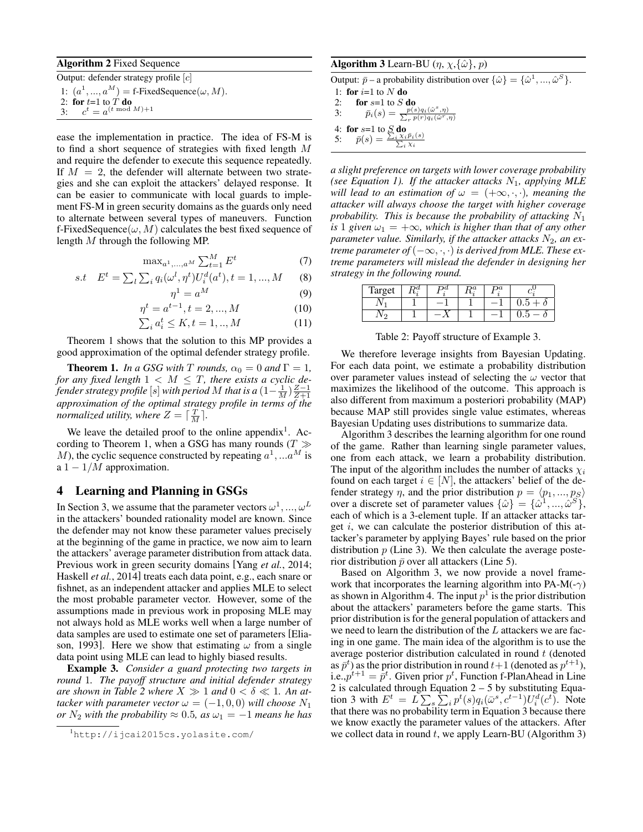#### Algorithm 2 Fixed Sequence

Output: defender strategy profile [c] 1:  $(a^1, ..., a^M) =$  f-FixedSequence $(\omega, M)$ . 2: for  $t=1$  to  $T$  do 3:  $c^t = a^{(t \bmod M)+1}$ 

ease the implementation in practice. The idea of FS-M is to find a short sequence of strategies with fixed length M and require the defender to execute this sequence repeatedly. If  $M = 2$ , the defender will alternate between two strategies and she can exploit the attackers' delayed response. It can be easier to communicate with local guards to implement FS-M in green security domains as the guards only need to alternate between several types of maneuvers. Function f-FixedSequence( $\omega$ , M) calculates the best fixed sequence of length M through the following MP.

$$
\max_{a^1,\ldots,a^M} \sum_{t=1}^M E^t \tag{7}
$$

s.t 
$$
E^t = \sum_l \sum_i q_i(\omega^l, \eta^t) U_i^d(a^t), t = 1, ..., M
$$
 (8)

$$
\eta^1 = a^M \tag{9}
$$

$$
\eta^t = a^{t-1}, t = 2, ..., M
$$
\n
$$
\sum a^t < K \ t - 1 \ M \tag{10}
$$

$$
\sum_{i} a_i^t \le K, t = 1, \dots, M \tag{11}
$$

Theorem 1 shows that the solution to this MP provides a good approximation of the optimal defender strategy profile.

**Theorem 1.** *In a GSG with*  $T$  *rounds,*  $\alpha_0 = 0$  *and*  $\Gamma = 1$ *, for any fixed length*  $1 < M \leq T$ , there exists a cyclic de*fender strategy profile*  $[s]$  *with period*  $M$  *that is a*  $(1 - \frac{1}{M}) \frac{Z-1}{Z+1}$ *approximation of the optimal strategy profile in terms of the normalized utility, where*  $Z = \lceil \frac{T}{M} \rceil$ *.* 

We leave the detailed proof to the online appendix<sup>1</sup>. According to Theorem 1, when a GSG has many rounds ( $T \gg$ M), the cyclic sequence constructed by repeating  $a^1, ... a^M$  is a  $1 - 1/M$  approximation.

## 4 Learning and Planning in GSGs

In Section 3, we assume that the parameter vectors  $\omega^1, ..., \omega^L$ in the attackers' bounded rationality model are known. Since the defender may not know these parameter values precisely at the beginning of the game in practice, we now aim to learn the attackers' average parameter distribution from attack data. Previous work in green security domains [Yang *et al.*, 2014; Haskell *et al.*, 2014] treats each data point, e.g., each snare or fishnet, as an independent attacker and applies MLE to select the most probable parameter vector. However, some of the assumptions made in previous work in proposing MLE may not always hold as MLE works well when a large number of data samples are used to estimate one set of parameters [Eliason, 1993]. Here we show that estimating  $\omega$  from a single data point using MLE can lead to highly biased results.

Example 3. *Consider a guard protecting two targets in round* 1*. The payoff structure and initial defender strategy are shown in Table 2 where*  $X \gg 1$  *and*  $0 < \delta \ll 1$ *. An attacker with parameter vector*  $\omega = (-1, 0, 0)$  *will choose*  $N_1$ *or*  $N_2$  *with the probability*  $\approx 0.5$ *, as*  $\omega_1 = -1$  *means he has* 

#### **Algorithm 3** Learn-BU  $(\eta, \chi, {\hat{\omega}}, p)$

Output:  $\bar{p}$  – a probability distribution over  $\{\hat{\omega}\} = \{\hat{\omega}^1, ..., \hat{\omega}^S\}.$ 

1: for  $i=1$  to  $N$  do

$$
2: \quad \text{for } s=1 \text{ to } S \text{ do}
$$

3: 
$$
\overline{p}_i(s) = \frac{p(s)q_i(\hat{\omega}^s, \eta)}{\sum_r p(r)q_i(\hat{\omega}^r, \eta)}
$$

4: for 
$$
s=1
$$
 to  $\underset{z}{\mathcal{S}}$  do

5:  $\bar{p}(s) = \frac{\sum_i \chi_i \bar{p}_i(s)}{\sum_i \chi_i}$ 

*a slight preference on targets with lower coverage probability (see Equation 1). If the attacker attacks*  $N_1$ *, applying MLE will lead to an estimation of*  $\omega = (+\infty, \cdot, \cdot)$ *, meaning the attacker will always choose the target with higher coverage probability. This is because the probability of attacking* N<sup>1</sup> *is* 1 *given*  $\omega_1 = +\infty$ *, which is higher than that of any other parameter value. Similarly, if the attacker attacks*  $N_2$ *, an extreme parameter of*  $(-\infty, \cdot, \cdot)$  *is derived from MLE. These extreme parameters will mislead the defender in designing her strategy in the following round.*

| Target |  | n a | na |  |
|--------|--|-----|----|--|
|        |  |     |    |  |
|        |  |     |    |  |

Table 2: Payoff structure of Example 3.

We therefore leverage insights from Bayesian Updating. For each data point, we estimate a probability distribution over parameter values instead of selecting the  $\omega$  vector that maximizes the likelihood of the outcome. This approach is also different from maximum a posteriori probability (MAP) because MAP still provides single value estimates, whereas Bayesian Updating uses distributions to summarize data.

Algorithm 3 describes the learning algorithm for one round of the game. Rather than learning single parameter values, one from each attack, we learn a probability distribution. The input of the algorithm includes the number of attacks  $\chi_i$ found on each target  $i \in [N]$ , the attackers' belief of the defender strategy  $\eta$ , and the prior distribution  $p = \langle p_1, ..., p_S \rangle$ over a discrete set of parameter values  $\{\hat{\omega}\} = \{\hat{\omega}^1, ..., \hat{\omega}^S\},\$ each of which is a 3-element tuple. If an attacker attacks target  $i$ , we can calculate the posterior distribution of this attacker's parameter by applying Bayes' rule based on the prior distribution  $p$  (Line 3). We then calculate the average posterior distribution  $\bar{p}$  over all attackers (Line 5).

Based on Algorithm 3, we now provide a novel framework that incorporates the learning algorithm into PA-M(- $\gamma$ ) as shown in Algorithm 4. The input  $p^1$  is the prior distribution about the attackers' parameters before the game starts. This prior distribution is for the general population of attackers and we need to learn the distribution of the L attackers we are facing in one game. The main idea of the algorithm is to use the average posterior distribution calculated in round  $t$  (denoted as  $\bar{p}^t$ ) as the prior distribution in round  $t+1$  (denoted as  $p^{t+1}$ ), i.e., $p^{t+1} = \overline{p}^t$ . Given prior  $p^t$ , Function f-PlanAhead in Line 2 is calculated through Equation 2 – 5 by substituting Equation 3 with  $E^t = L \sum_s \sum_i p^t(s) q_i(\bar{\omega}^s, c^{t-1}) U_i^d(c^t)$ . Note that there was no probability term in Equation 3 because there we know exactly the parameter values of the attackers. After we collect data in round  $t$ , we apply Learn-BU (Algorithm 3)

<sup>1</sup>http://ijcai2015cs.yolasite.com/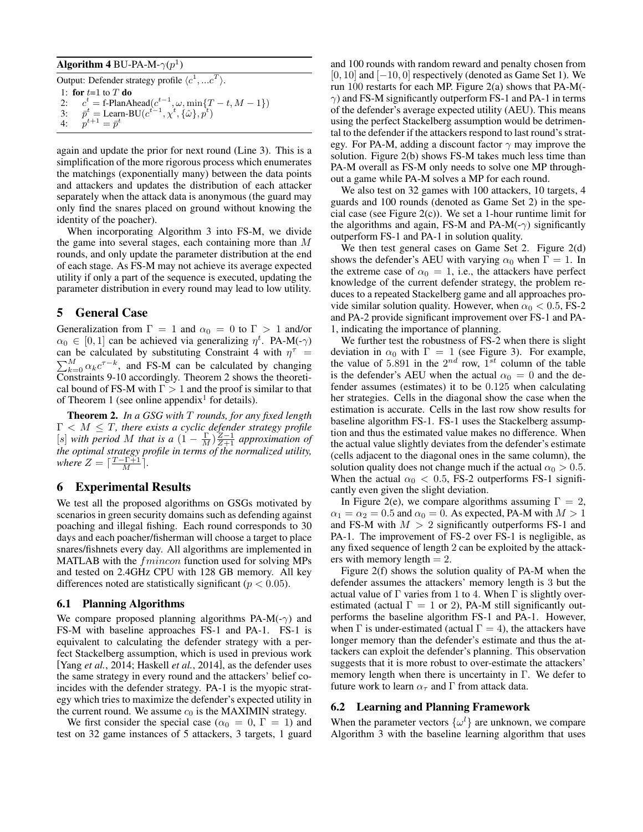## Algorithm 4 BU-PA-M- $\gamma(p^1)$

Output: Defender strategy profile  $\langle c^1, ... c^T \rangle$ . 1: for  $t=1$  to  $T$  do 2:  $c^t = \text{f-PlanAhead}(c^{t-1}, \omega, \min\{T-t, M-1\})$ 3:  $\bar{p}^t = \text{Learn-BU}(c^{t-1}, \chi^t, {\hat{\omega}}, \tilde{p}^t)$  $4:$  $t+1 = \bar{p}^t$ 

again and update the prior for next round (Line 3). This is a simplification of the more rigorous process which enumerates the matchings (exponentially many) between the data points and attackers and updates the distribution of each attacker separately when the attack data is anonymous (the guard may only find the snares placed on ground without knowing the identity of the poacher).

When incorporating Algorithm 3 into FS-M, we divide the game into several stages, each containing more than M rounds, and only update the parameter distribution at the end of each stage. As FS-M may not achieve its average expected utility if only a part of the sequence is executed, updating the parameter distribution in every round may lead to low utility.

## 5 General Case

Generalization from  $\Gamma = 1$  and  $\alpha_0 = 0$  to  $\Gamma > 1$  and/or  $\alpha_0 \in [0,1]$  can be achieved via generalizing  $\eta^t$ . PA-M(- $\gamma$ ) can be calculated by substituting Constraint 4 with  $\eta^{\tau}$  =  $\sum_{k=0}^{M} \alpha_k c^{\tau-k}$ , and FS-M can be calculated by changing Constraints 9-10 accordingly. Theorem 2 shows the theoretical bound of FS-M with  $\Gamma > 1$  and the proof is similar to that of Theorem 1 (see online appendix<sup>1</sup> for details).

Theorem 2. *In a GSG with* T *rounds, for any fixed length*  $\Gamma < M \leq T$ , there exists a cyclic defender strategy profile [s] *with period* M *that is a*  $(1 - \frac{\Gamma}{M}) \frac{Z-1}{Z+1}$  *approximation of the optimal strategy profile in terms of the normalized utility, where*  $Z = \left\lceil \frac{T - \Gamma + 1}{M} \right\rceil$ .

## 6 Experimental Results

We test all the proposed algorithms on GSGs motivated by scenarios in green security domains such as defending against poaching and illegal fishing. Each round corresponds to 30 days and each poacher/fisherman will choose a target to place snares/fishnets every day. All algorithms are implemented in MATLAB with the  $fmincon$  function used for solving MPs and tested on 2.4GHz CPU with 128 GB memory. All key differences noted are statistically significant ( $p < 0.05$ ).

#### 6.1 Planning Algorithms

We compare proposed planning algorithms PA-M(- $\gamma$ ) and FS-M with baseline approaches FS-1 and PA-1. FS-1 is equivalent to calculating the defender strategy with a perfect Stackelberg assumption, which is used in previous work [Yang *et al.*, 2014; Haskell *et al.*, 2014], as the defender uses the same strategy in every round and the attackers' belief coincides with the defender strategy. PA-1 is the myopic strategy which tries to maximize the defender's expected utility in the current round. We assume  $c_0$  is the MAXIMIN strategy.

We first consider the special case ( $\alpha_0 = 0$ ,  $\Gamma = 1$ ) and test on 32 game instances of 5 attackers, 3 targets, 1 guard and 100 rounds with random reward and penalty chosen from  $[0, 10]$  and  $[-10, 0]$  respectively (denoted as Game Set 1). We run 100 restarts for each MP. Figure 2(a) shows that PA-M(-  $\gamma$ ) and FS-M significantly outperform FS-1 and PA-1 in terms of the defender's average expected utility (AEU). This means using the perfect Stackelberg assumption would be detrimental to the defender if the attackers respond to last round's strategy. For PA-M, adding a discount factor  $\gamma$  may improve the solution. Figure 2(b) shows FS-M takes much less time than PA-M overall as FS-M only needs to solve one MP throughout a game while PA-M solves a MP for each round.

We also test on 32 games with 100 attackers, 10 targets, 4 guards and 100 rounds (denoted as Game Set 2) in the special case (see Figure 2(c)). We set a 1-hour runtime limit for the algorithms and again, FS-M and PA-M(- $\gamma$ ) significantly outperform FS-1 and PA-1 in solution quality.

We then test general cases on Game Set 2. Figure 2(d) shows the defender's AEU with varying  $\alpha_0$  when  $\Gamma = 1$ . In the extreme case of  $\alpha_0 = 1$ , i.e., the attackers have perfect knowledge of the current defender strategy, the problem reduces to a repeated Stackelberg game and all approaches provide similar solution quality. However, when  $\alpha_0 < 0.5$ , FS-2 and PA-2 provide significant improvement over FS-1 and PA-1, indicating the importance of planning.

We further test the robustness of FS-2 when there is slight deviation in  $\alpha_0$  with  $\Gamma = 1$  (see Figure 3). For example, the value of 5.891 in the  $2^{nd}$  row,  $1^{st}$  column of the table is the defender's AEU when the actual  $\alpha_0 = 0$  and the defender assumes (estimates) it to be 0.125 when calculating her strategies. Cells in the diagonal show the case when the estimation is accurate. Cells in the last row show results for baseline algorithm FS-1. FS-1 uses the Stackelberg assumption and thus the estimated value makes no difference. When the actual value slightly deviates from the defender's estimate (cells adjacent to the diagonal ones in the same column), the solution quality does not change much if the actual  $\alpha_0 > 0.5$ . When the actual  $\alpha_0 < 0.5$ , FS-2 outperforms FS-1 significantly even given the slight deviation.

In Figure 2(e), we compare algorithms assuming  $\Gamma = 2$ ,  $\alpha_1 = \alpha_2 = 0.5$  and  $\alpha_0 = 0$ . As expected, PA-M with  $M > 1$ and FS-M with  $M > 2$  significantly outperforms FS-1 and PA-1. The improvement of FS-2 over FS-1 is negligible, as any fixed sequence of length 2 can be exploited by the attackers with memory length  $= 2$ .

Figure 2(f) shows the solution quality of PA-M when the defender assumes the attackers' memory length is 3 but the actual value of  $\Gamma$  varies from 1 to 4. When  $\Gamma$  is slightly overestimated (actual  $\Gamma = 1$  or 2), PA-M still significantly outperforms the baseline algorithm FS-1 and PA-1. However, when  $\Gamma$  is under-estimated (actual  $\Gamma = 4$ ), the attackers have longer memory than the defender's estimate and thus the attackers can exploit the defender's planning. This observation suggests that it is more robust to over-estimate the attackers' memory length when there is uncertainty in Γ. We defer to future work to learn  $\alpha_{\tau}$  and Γ from attack data.

#### 6.2 Learning and Planning Framework

When the parameter vectors  $\{\omega^l\}$  are unknown, we compare Algorithm 3 with the baseline learning algorithm that uses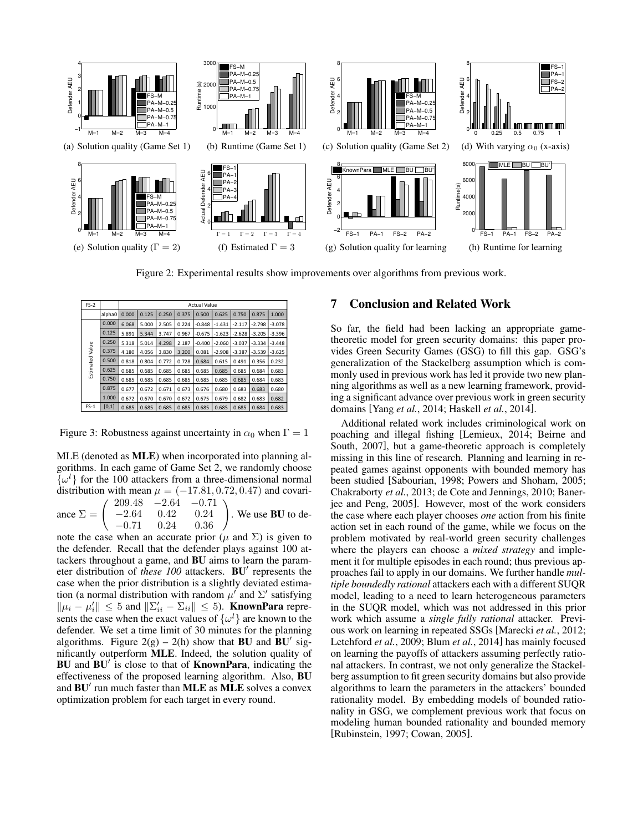

Figure 2: Experimental results show improvements over algorithms from previous work.

| $FS-2$          |        | <b>Actual Value</b> |       |       |       |          |          |          |          |          |
|-----------------|--------|---------------------|-------|-------|-------|----------|----------|----------|----------|----------|
|                 | alpha0 | 0.000               | 0.125 | 0.250 | 0.375 | 0.500    | 0.625    | 0.750    | 0.875    | 1.000    |
|                 | 0.000  | 6.068               | 5.000 | 2.505 | 0.224 | $-0.848$ | $-1.431$ | $-2.117$ | $-2.798$ | $-3.078$ |
|                 | 0.125  | 5.891               | 5.344 | 3.747 | 0.967 | $-0.675$ | $-1.623$ | $-2.628$ | -3.205   | $-3.396$ |
|                 | 0.250  | 5.318               | 5.014 | 4.298 | 2.187 | $-0.400$ | $-2.060$ | $-3.037$ | $-3.334$ | $-3.448$ |
|                 | 0.375  | 4.180               | 4.056 | 3.830 | 3.200 | 0.081    | $-2.908$ | $-3.387$ | $-3.539$ | $-3.625$ |
|                 | 0.500  | 0.818               | 0.804 | 0.772 | 0.728 | 0.684    | 0.615    | 0.491    | 0.356    | 0.232    |
| Estimated Value | 0.625  | 0.685               | 0.685 | 0.685 | 0.685 | 0.685    | 0.685    | 0.685    | 0.684    | 0.683    |
|                 | 0.750  | 0.685               | 0.685 | 0.685 | 0.685 | 0.685    | 0.685    | 0.685    | 0.684    | 0.683    |
|                 | 0.875  | 0.677               | 0.672 | 0.671 | 0.673 | 0.676    | 0.680    | 0.683    | 0.683    | 0.680    |
|                 | 1.000  | 0.672               | 0.670 | 0.670 | 0.672 | 0.675    | 0.679    | 0.682    | 0.683    | 0.682    |
| $FS-1$          | [0,1]  | 0.685               | 0.685 | 0.685 | 0.685 | 0.685    | 0.685    | 0.685    | 0.684    | 0.683    |

Figure 3: Robustness against uncertainty in  $\alpha_0$  when  $\Gamma = 1$ 

MLE (denoted as MLE) when incorporated into planning algorithms. In each game of Game Set 2, we randomly choose  $\{\omega^l\}$  for the 100 attackers from a three-dimensional normal distribution with mean  $\mu = (-17.81, 0.72, 0.47)$  and covari-

ance  $\Sigma = \begin{pmatrix} 209.48 & -2.64 & -0.71 \\ -2.64 & 0.42 & 0.24 \\ -0.71 & 0.24 & 0.36 \end{pmatrix}$  $-2.64$   $0.42$   $0.24$ <br> $-0.71$   $0.24$   $0.36$ . We use BU to de-

note the case when an accurate prior ( $\mu$  and  $\Sigma$ ) is given to the defender. Recall that the defender plays against 100 attackers throughout a game, and BU aims to learn the parameter distribution of these 100 attackers. BU<sup>'</sup> represents the case when the prior distribution is a slightly deviated estimation (a normal distribution with random  $\mu'$  and  $\Sigma'$  satisfying  $\|\mu_i - \mu'_i\| \leq 5$  and  $\|\Sigma'_{ii} - \Sigma_{ii}\| \leq 5$ ). **KnownPara** represents the case when the exact values of  $\{\omega^l\}$  are known to the defender. We set a time limit of 30 minutes for the planning algorithms. Figure 2(g) – 2(h) show that **BU** and  $\overline{BU}$  significantly outperform MLE. Indeed, the solution quality of BU and  $BU'$  is close to that of KnownPara, indicating the effectiveness of the proposed learning algorithm. Also, BU and  $BU'$  run much faster than  $MLE$  as  $MLE$  solves a convex optimization problem for each target in every round.

## 7 Conclusion and Related Work

So far, the field had been lacking an appropriate gametheoretic model for green security domains: this paper provides Green Security Games (GSG) to fill this gap. GSG's generalization of the Stackelberg assumption which is commonly used in previous work has led it provide two new planning algorithms as well as a new learning framework, providing a significant advance over previous work in green security domains [Yang *et al.*, 2014; Haskell *et al.*, 2014].

Additional related work includes criminological work on poaching and illegal fishing [Lemieux, 2014; Beirne and South, 2007], but a game-theoretic approach is completely missing in this line of research. Planning and learning in repeated games against opponents with bounded memory has been studied [Sabourian, 1998; Powers and Shoham, 2005; Chakraborty *et al.*, 2013; de Cote and Jennings, 2010; Banerjee and Peng, 2005]. However, most of the work considers the case where each player chooses *one* action from his finite action set in each round of the game, while we focus on the problem motivated by real-world green security challenges where the players can choose a *mixed strategy* and implement it for multiple episodes in each round; thus previous approaches fail to apply in our domains. We further handle *multiple boundedly rational* attackers each with a different SUQR model, leading to a need to learn heterogeneous parameters in the SUQR model, which was not addressed in this prior work which assume a *single fully rational* attacker. Previous work on learning in repeated SSGs [Marecki *et al.*, 2012; Letchford *et al.*, 2009; Blum *et al.*, 2014] has mainly focused on learning the payoffs of attackers assuming perfectly rational attackers. In contrast, we not only generalize the Stackelberg assumption to fit green security domains but also provide algorithms to learn the parameters in the attackers' bounded rationality model. By embedding models of bounded rationality in GSG, we complement previous work that focus on modeling human bounded rationality and bounded memory [Rubinstein, 1997; Cowan, 2005].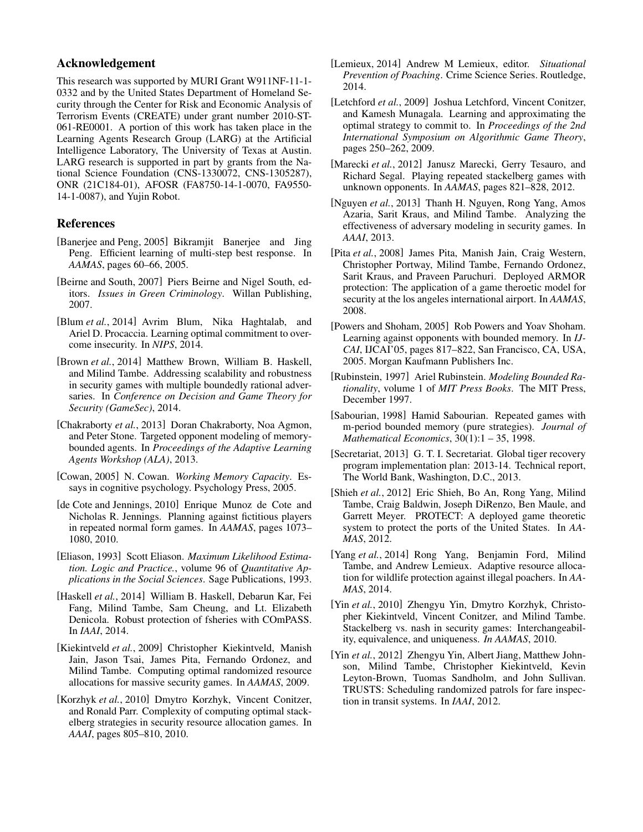# Acknowledgement

This research was supported by MURI Grant W911NF-11-1- 0332 and by the United States Department of Homeland Security through the Center for Risk and Economic Analysis of Terrorism Events (CREATE) under grant number 2010-ST-061-RE0001. A portion of this work has taken place in the Learning Agents Research Group (LARG) at the Artificial Intelligence Laboratory, The University of Texas at Austin. LARG research is supported in part by grants from the National Science Foundation (CNS-1330072, CNS-1305287), ONR (21C184-01), AFOSR (FA8750-14-1-0070, FA9550- 14-1-0087), and Yujin Robot.

## References

- [Banerjee and Peng, 2005] Bikramjit Banerjee and Jing Peng. Efficient learning of multi-step best response. In *AAMAS*, pages 60–66, 2005.
- [Beirne and South, 2007] Piers Beirne and Nigel South, editors. *Issues in Green Criminology*. Willan Publishing, 2007.
- [Blum *et al.*, 2014] Avrim Blum, Nika Haghtalab, and Ariel D. Procaccia. Learning optimal commitment to overcome insecurity. In *NIPS*, 2014.
- [Brown *et al.*, 2014] Matthew Brown, William B. Haskell, and Milind Tambe. Addressing scalability and robustness in security games with multiple boundedly rational adversaries. In *Conference on Decision and Game Theory for Security (GameSec)*, 2014.
- [Chakraborty *et al.*, 2013] Doran Chakraborty, Noa Agmon, and Peter Stone. Targeted opponent modeling of memorybounded agents. In *Proceedings of the Adaptive Learning Agents Workshop (ALA)*, 2013.
- [Cowan, 2005] N. Cowan. *Working Memory Capacity*. Essays in cognitive psychology. Psychology Press, 2005.
- [de Cote and Jennings, 2010] Enrique Munoz de Cote and Nicholas R. Jennings. Planning against fictitious players in repeated normal form games. In *AAMAS*, pages 1073– 1080, 2010.
- [Eliason, 1993] Scott Eliason. *Maximum Likelihood Estimation. Logic and Practice.*, volume 96 of *Quantitative Applications in the Social Sciences*. Sage Publications, 1993.
- [Haskell *et al.*, 2014] William B. Haskell, Debarun Kar, Fei Fang, Milind Tambe, Sam Cheung, and Lt. Elizabeth Denicola. Robust protection of fsheries with COmPASS. In *IAAI*, 2014.
- [Kiekintveld *et al.*, 2009] Christopher Kiekintveld, Manish Jain, Jason Tsai, James Pita, Fernando Ordonez, and Milind Tambe. Computing optimal randomized resource allocations for massive security games. In *AAMAS*, 2009.
- [Korzhyk et al., 2010] Dmytro Korzhyk, Vincent Conitzer, and Ronald Parr. Complexity of computing optimal stackelberg strategies in security resource allocation games. In *AAAI*, pages 805–810, 2010.
- [Lemieux, 2014] Andrew M Lemieux, editor. *Situational Prevention of Poaching*. Crime Science Series. Routledge, 2014.
- [Letchford *et al.*, 2009] Joshua Letchford, Vincent Conitzer, and Kamesh Munagala. Learning and approximating the optimal strategy to commit to. In *Proceedings of the 2nd International Symposium on Algorithmic Game Theory*, pages 250–262, 2009.
- [Marecki et al., 2012] Janusz Marecki, Gerry Tesauro, and Richard Segal. Playing repeated stackelberg games with unknown opponents. In *AAMAS*, pages 821–828, 2012.
- [Nguyen *et al.*, 2013] Thanh H. Nguyen, Rong Yang, Amos Azaria, Sarit Kraus, and Milind Tambe. Analyzing the effectiveness of adversary modeling in security games. In *AAAI*, 2013.
- [Pita *et al.*, 2008] James Pita, Manish Jain, Craig Western, Christopher Portway, Milind Tambe, Fernando Ordonez, Sarit Kraus, and Praveen Paruchuri. Deployed ARMOR protection: The application of a game theroetic model for security at the los angeles international airport. In *AAMAS*, 2008.
- [Powers and Shoham, 2005] Rob Powers and Yoav Shoham. Learning against opponents with bounded memory. In *IJ-CAI*, IJCAI'05, pages 817–822, San Francisco, CA, USA, 2005. Morgan Kaufmann Publishers Inc.
- [Rubinstein, 1997] Ariel Rubinstein. *Modeling Bounded Rationality*, volume 1 of *MIT Press Books*. The MIT Press, December 1997.
- [Sabourian, 1998] Hamid Sabourian. Repeated games with m-period bounded memory (pure strategies). *Journal of Mathematical Economics*, 30(1):1 – 35, 1998.
- [Secretariat, 2013] G. T. I. Secretariat. Global tiger recovery program implementation plan: 2013-14. Technical report, The World Bank, Washington, D.C., 2013.
- [Shieh *et al.*, 2012] Eric Shieh, Bo An, Rong Yang, Milind Tambe, Craig Baldwin, Joseph DiRenzo, Ben Maule, and Garrett Meyer. PROTECT: A deployed game theoretic system to protect the ports of the United States. In *AA-MAS*, 2012.
- [Yang *et al.*, 2014] Rong Yang, Benjamin Ford, Milind Tambe, and Andrew Lemieux. Adaptive resource allocation for wildlife protection against illegal poachers. In *AA-MAS*, 2014.
- [Yin *et al.*, 2010] Zhengyu Yin, Dmytro Korzhyk, Christopher Kiekintveld, Vincent Conitzer, and Milind Tambe. Stackelberg vs. nash in security games: Interchangeability, equivalence, and uniqueness. *In AAMAS*, 2010.
- [Yin *et al.*, 2012] Zhengyu Yin, Albert Jiang, Matthew Johnson, Milind Tambe, Christopher Kiekintveld, Kevin Leyton-Brown, Tuomas Sandholm, and John Sullivan. TRUSTS: Scheduling randomized patrols for fare inspection in transit systems. In *IAAI*, 2012.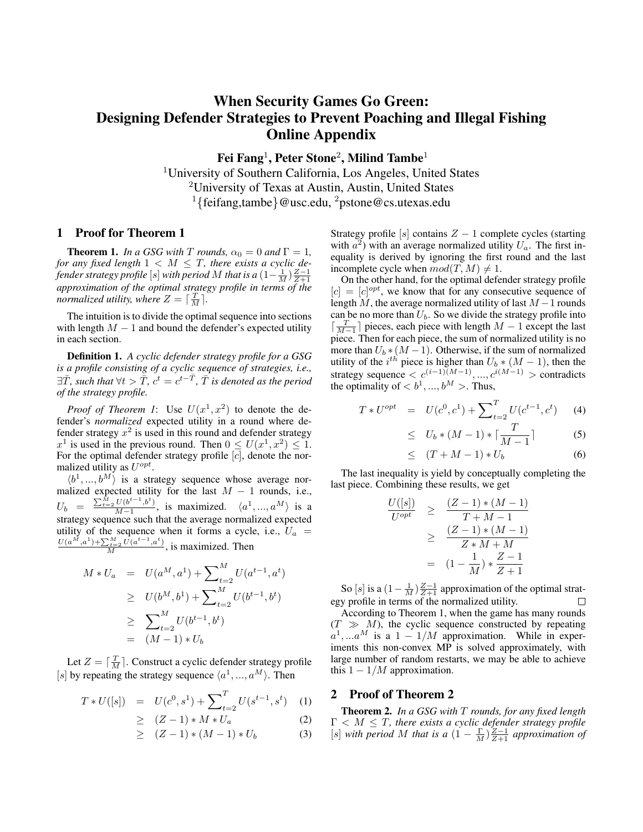# When Security Games Go Green: Designing Defender Strategies to Prevent Poaching and Illegal Fishing Online Appendix

Fei Fang $^1$ , Peter Stone $^2$ , Milind Tambe $^1$ 

<sup>1</sup>University of Southern California, Los Angeles, United States <sup>2</sup>University of Texas at Austin, Austin, United States <sup>1</sup>{feifang,tambe}@usc.edu, <sup>2</sup>pstone@cs.utexas.edu

#### 1 Proof for Theorem 1

**Theorem 1.** *In a GSG with*  $T$  *rounds,*  $\alpha_0 = 0$  *and*  $\Gamma = 1$ *, for any fixed length*  $1 < M \leq T$ , there exists a cyclic de*fender strategy profile*  $[s]$  *with period*  $M$  *that is a*  $(1 - \frac{1}{M}) \frac{Z-1}{Z+1}$ *approximation of the optimal strategy profile in terms of the normalized utility, where*  $Z = \lceil \frac{T}{M} \rceil$ *.* 

The intuition is to divide the optimal sequence into sections with length  $M - 1$  and bound the defender's expected utility in each section.

Definition 1. *A cyclic defender strategy profile for a GSG is a profile consisting of a cyclic sequence of strategies, i.e.,*  $\exists \bar{T}$ , such that  $\forall t > \bar{\bar{T}}$ ,  $c^t = c^{t - \bar{T}}$ ,  $\bar{T}$  is denoted as the period *of the strategy profile.*

*Proof of Theorem 1*: Use  $U(x^1, x^2)$  to denote the defender's *normalized* expected utility in a round where defender strategy  $x^2$  is used in this round and defender strategy  $x^1$  is used in the previous round. Then  $0 \le U(x^1, x^2) \le 1$ . For the optimal defender strategy profile  $[c]$ , denote the normalized utility as  $U^{opt}$ .

 $\langle b^1, ..., b^M \rangle$  is a strategy sequence whose average normalized expected utility for the last  $M - 1$  rounds, i.e.,  $U_b = \frac{\sum_{t=2}^{M} U(b^{t-1}, b^t)}{M-1}$  $\frac{U(b^{c-1},b^c)}{M-1}$ , is maximized.  $\langle a^1,...,a^M \rangle$  is a strategy sequence such that the average normalized expected utility of the sequence when it forms a cycle, i.e.,  $U_a$  =  $\frac{U(a^M, a^1) + \sum_{t=2}^M U(a^{t-1}, a^t)}{M}$ , is maximized. Then

$$
M * U_a = U(a^M, a^1) + \sum_{t=2}^M U(a^{t-1}, a^t)
$$
  
\n
$$
\geq U(b^M, b^1) + \sum_{t=2}^M U(b^{t-1}, b^t)
$$
  
\n
$$
\geq \sum_{t=2}^M U(b^{t-1}, b^t)
$$
  
\n
$$
= (M-1) * U_b
$$

Let  $Z = \lceil \frac{T}{M} \rceil$ . Construct a cyclic defender strategy profile [s] by repeating the strategy sequence  $\langle a^1, ..., a^M \rangle$ . Then

$$
T * U([s]) = U(c^0, s^1) + \sum_{t=2}^{T} U(s^{t-1}, s^t) \quad (1)
$$

$$
\geq (Z-1) * M * U_a \tag{2}
$$

$$
\geq (Z-1)*(M-1)*U_b \tag{3}
$$

Strategy profile [s] contains  $Z - 1$  complete cycles (starting with  $a^2$ ) with an average normalized utility  $U_a$ . The first inequality is derived by ignoring the first round and the last incomplete cycle when  $mod(T, M) \neq 1$ .

On the other hand, for the optimal defender strategy profile  $[c] = [c]^{opt}$ , we know that for any consecutive sequence of length  $M$ , the average normalized utility of last  $M - 1$  rounds can be no more than  $U_b$ . So we divide the strategy profile into  $\lceil \frac{T}{M-1} \rceil$  pieces, each piece with length  $M-1$  except the last piece. Then for each piece, the sum of normalized utility is no more than  $U_b * (M - 1)$ . Otherwise, if the sum of normalized utility of the  $i^{th}$  piece is higher than  $U_b * (M - 1)$ , then the strategy sequence  $\langle c^{(i-1)(M-1)}, \ldots, c^{i(M-1)} \rangle$  contradicts the optimality of  **>. Thus,** 

$$
T * U^{opt} = U(c^{0}, c^{1}) + \sum_{t=2}^{T} U(c^{t-1}, c^{t})
$$
 (4)

$$
\leq U_b * (M-1) * \lceil \frac{T}{M-1} \rceil \tag{5}
$$

$$
\leq (T+M-1)*U_b \tag{6}
$$

The last inequality is yield by conceptually completing the last piece. Combining these results, we get

$$
\frac{U([s])}{U^{opt}} \geq \frac{(Z-1)*(M-1)}{T+M-1} \n\geq \frac{(Z-1)*(M-1)}{Z*M+M} \n= (1-\frac{1}{M})*\frac{Z-1}{Z+1}
$$

So [s] is a  $(1 - \frac{1}{M}) \frac{Z-1}{Z+1}$  approximation of the optimal strategy profile in terms of the normalized utility.

According to Theorem 1, when the game has many rounds  $(T \gg M)$ , the cyclic sequence constructed by repeating  $a^1, ... a^M$  is a  $1 - 1/M$  approximation. While in experiments this non-convex MP is solved approximately, with large number of random restarts, we may be able to achieve this  $1 - 1/M$  approximation.

## 2 Proof of Theorem 2

Theorem 2. *In a GSG with* T *rounds, for any fixed length*  $\Gamma < M \leq T$ , there exists a cyclic defender strategy profile [s] with period M that is a  $(1 - \frac{\Gamma}{M}) \frac{Z-1}{Z+1}$  approximation of